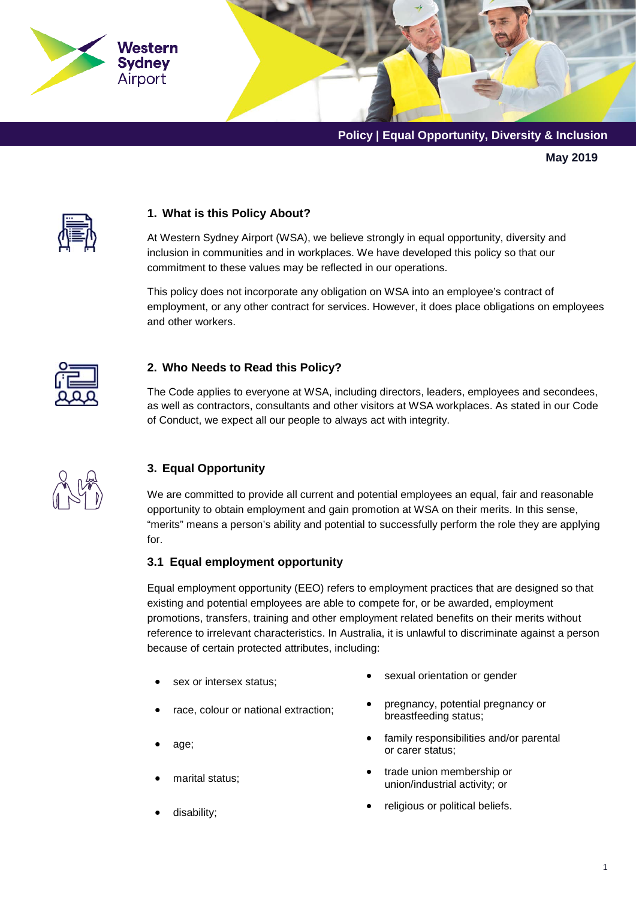

**May 2019**



## **1. What is this Policy About?**

At Western Sydney Airport (WSA), we believe strongly in equal opportunity, diversity and inclusion in communities and in workplaces. We have developed this policy so that our commitment to these values may be reflected in our operations.

This policy does not incorporate any obligation on WSA into an employee's contract of employment, or any other contract for services. However, it does place obligations on employees and other workers.



## **2. Who Needs to Read this Policy?**

The Code applies to everyone at WSA, including directors, leaders, employees and secondees, as well as contractors, consultants and other visitors at WSA workplaces. As stated in our Code of Conduct, we expect all our people to always act with integrity.



## **3. Equal Opportunity**

We are committed to provide all current and potential employees an equal, fair and reasonable opportunity to obtain employment and gain promotion at WSA on their merits. In this sense, "merits" means a person's ability and potential to successfully perform the role they are applying for.

#### **3.1 Equal employment opportunity**

Equal employment opportunity (EEO) refers to employment practices that are designed so that existing and potential employees are able to compete for, or be awarded, employment promotions, transfers, training and other employment related benefits on their merits without reference to irrelevant characteristics. In Australia, it is unlawful to discriminate against a person because of certain protected attributes, including:

- 
- 
- 
- 
- sex or intersex status;  $\bullet$  sexual orientation or gender
- race, colour or national extraction; pregnancy, potential pregnancy or breastfeeding status;
- e family responsibilities and/or parental<br>age;<br> $\bullet$  family responsibilities and/or parental or carer status;
- marital status; trade union membership or union/industrial activity; or
	- disability; **•** religious or political beliefs.
-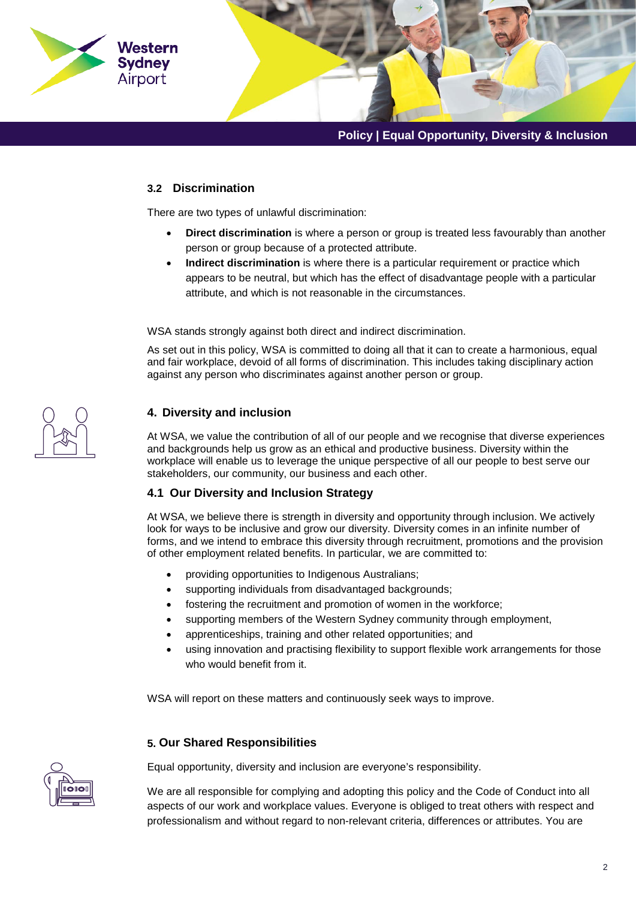

## **3.2 Discrimination**

There are two types of unlawful discrimination:

- **Direct discrimination** is where a person or group is treated less favourably than another person or group because of a protected attribute.
- **Indirect discrimination** is where there is a particular requirement or practice which appears to be neutral, but which has the effect of disadvantage people with a particular attribute, and which is not reasonable in the circumstances.

WSA stands strongly against both direct and indirect discrimination.

As set out in this policy, WSA is committed to doing all that it can to create a harmonious, equal and fair workplace, devoid of all forms of discrimination. This includes taking disciplinary action against any person who discriminates against another person or group.



### **4. Diversity and inclusion**

At WSA, we value the contribution of all of our people and we recognise that diverse experiences and backgrounds help us grow as an ethical and productive business. Diversity within the workplace will enable us to leverage the unique perspective of all our people to best serve our stakeholders, our community, our business and each other.

#### **4.1 Our Diversity and Inclusion Strategy**

At WSA, we believe there is strength in diversity and opportunity through inclusion. We actively look for ways to be inclusive and grow our diversity. Diversity comes in an infinite number of forms, and we intend to embrace this diversity through recruitment, promotions and the provision of other employment related benefits. In particular, we are committed to:

- providing opportunities to Indigenous Australians;
- supporting individuals from disadvantaged backgrounds;
- fostering the recruitment and promotion of women in the workforce;
- supporting members of the Western Sydney community through employment,
- apprenticeships, training and other related opportunities; and
- using innovation and practising flexibility to support flexible work arrangements for those who would benefit from it.

WSA will report on these matters and continuously seek ways to improve.

#### **5. Our Shared Responsibilities**

Equal opportunity, diversity and inclusion are everyone's responsibility.

We are all responsible for complying and adopting this policy and the Code of Conduct into all aspects of our work and workplace values. Everyone is obliged to treat others with respect and professionalism and without regard to non-relevant criteria, differences or attributes. You are

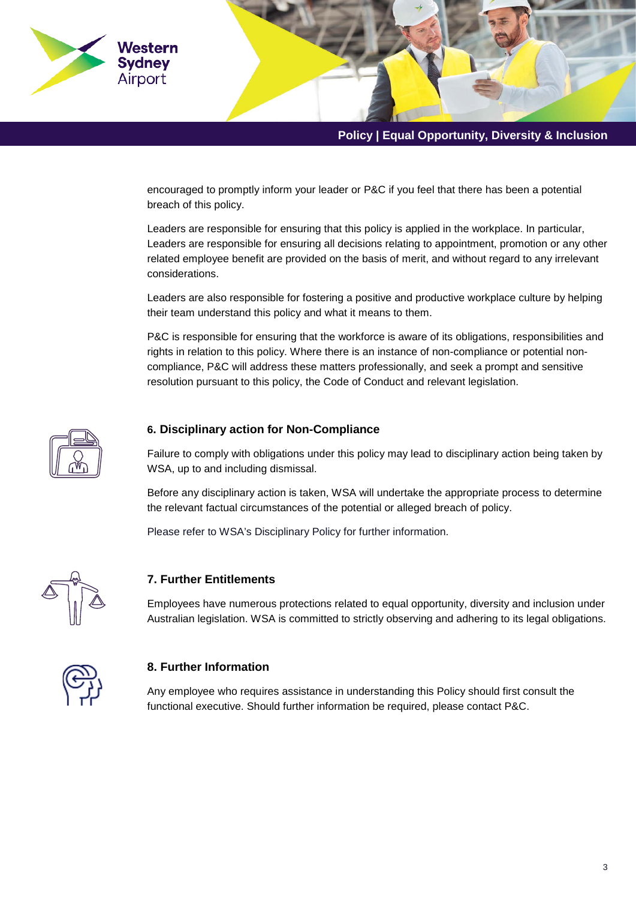

encouraged to promptly inform your leader or P&C if you feel that there has been a potential breach of this policy.

Leaders are responsible for ensuring that this policy is applied in the workplace. In particular, Leaders are responsible for ensuring all decisions relating to appointment, promotion or any other related employee benefit are provided on the basis of merit, and without regard to any irrelevant considerations.

Leaders are also responsible for fostering a positive and productive workplace culture by helping their team understand this policy and what it means to them.

P&C is responsible for ensuring that the workforce is aware of its obligations, responsibilities and rights in relation to this policy. Where there is an instance of non-compliance or potential noncompliance, P&C will address these matters professionally, and seek a prompt and sensitive resolution pursuant to this policy, the Code of Conduct and relevant legislation.



## **6. Disciplinary action for Non-Compliance**

Failure to comply with obligations under this policy may lead to disciplinary action being taken by WSA, up to and including dismissal.

Before any disciplinary action is taken, WSA will undertake the appropriate process to determine the relevant factual circumstances of the potential or alleged breach of policy.

Please refer to WSA's Disciplinary Policy for further information.



## **7. Further Entitlements**

Employees have numerous protections related to equal opportunity, diversity and inclusion under Australian legislation. WSA is committed to strictly observing and adhering to its legal obligations.



#### **8. Further Information**

Any employee who requires assistance in understanding this Policy should first consult the functional executive. Should further information be required, please contact P&C.